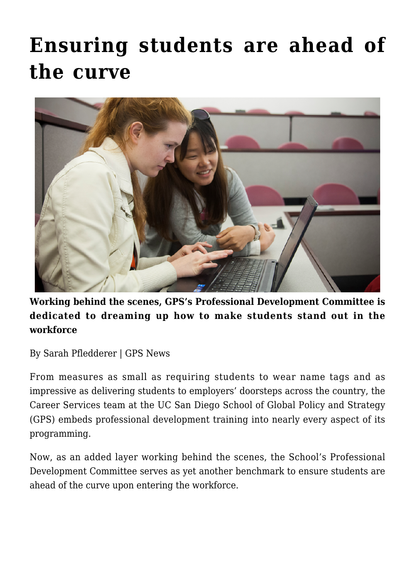# **[Ensuring students are ahead of](https://gpsnews.ucsd.edu/ensuring-students-are-ahead-of-the-curve/) [the curve](https://gpsnews.ucsd.edu/ensuring-students-are-ahead-of-the-curve/)**



**Working behind the scenes, GPS's Professional Development Committee is dedicated to dreaming up how to make students stand out in the workforce**

By Sarah Pfledderer | GPS News

From measures as small as requiring students to wear name tags and as impressive as delivering students to employers' doorsteps across the country, the Career Services team at the UC San Diego School of Global Policy and Strategy (GPS) embeds professional development training into nearly every aspect of its programming.

Now, as an added layer working behind the scenes, the School's Professional Development Committee serves as yet another benchmark to ensure students are ahead of the curve upon entering the workforce.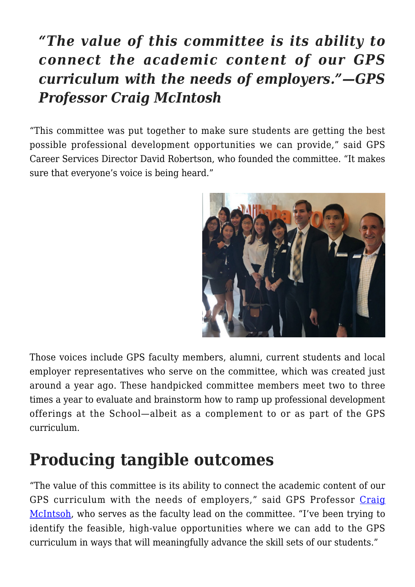### *"The value of this committee is its ability to connect the academic content of our GPS curriculum with the needs of employers."—GPS Professor Craig McIntosh*

"This committee was put together to make sure students are getting the best possible professional development opportunities we can provide," said GPS Career Services Director David Robertson, who founded the committee. "It makes sure that everyone's voice is being heard."



Those voices include GPS faculty members, alumni, current students and local employer representatives who serve on the committee, which was created just around a year ago. These handpicked committee members meet two to three times a year to evaluate and brainstorm how to ramp up professional development offerings at the School—albeit as a complement to or as part of the GPS curriculum.

## **Producing tangible outcomes**

"The value of this committee is its ability to connect the academic content of our GPS curriculum with the needs of employers," said GPS Professor [Craig](https://gps.ucsd.edu/faculty-directory/craig-mcintosh.html) [McIntsoh](https://gps.ucsd.edu/faculty-directory/craig-mcintosh.html), who serves as the faculty lead on the committee. "I've been trying to identify the feasible, high-value opportunities where we can add to the GPS curriculum in ways that will meaningfully advance the skill sets of our students."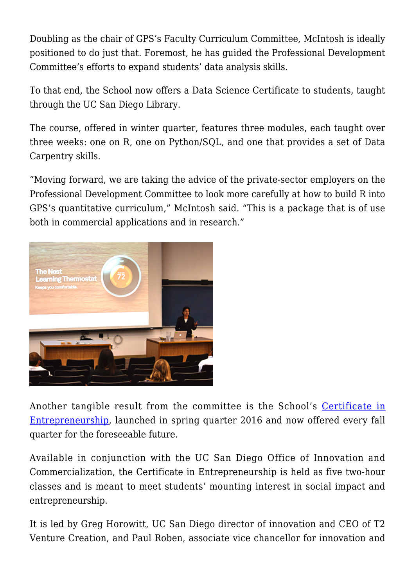Doubling as the chair of GPS's Faculty Curriculum Committee, McIntosh is ideally positioned to do just that. Foremost, he has guided the Professional Development Committee's efforts to expand students' data analysis skills.

To that end, the School now offers a Data Science Certificate to students, taught through the UC San Diego Library.

The course, offered in winter quarter, features three modules, each taught over three weeks: one on R, one on Python/SQL, and one that provides a set of Data Carpentry skills.

"Moving forward, we are taking the advice of the private-sector employers on the Professional Development Committee to look more carefully at how to build R into GPS's quantitative curriculum," McIntosh said. "This is a package that is of use both in commercial applications and in research."



Another tangible result from the committee is the School's [Certificate in](https://gpsnews.ucsd.edu/enlightening-students-in-entrepreneurship.html) [Entrepreneurship](https://gpsnews.ucsd.edu/enlightening-students-in-entrepreneurship.html), launched in spring quarter 2016 and now offered every fall quarter for the foreseeable future.

Available in conjunction with the UC San Diego Office of Innovation and Commercialization, the Certificate in Entrepreneurship is held as five two-hour classes and is meant to meet students' mounting interest in social impact and entrepreneurship.

It is led by Greg Horowitt, UC San Diego director of innovation and CEO of T2 Venture Creation, and Paul Roben, associate vice chancellor for innovation and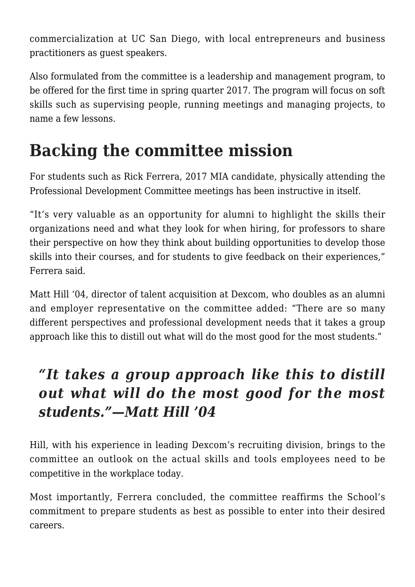commercialization at UC San Diego, with local entrepreneurs and business practitioners as guest speakers.

Also formulated from the committee is a leadership and management program, to be offered for the first time in spring quarter 2017. The program will focus on soft skills such as supervising people, running meetings and managing projects, to name a few lessons.

## **Backing the committee mission**

For students such as Rick Ferrera, 2017 MIA candidate, physically attending the Professional Development Committee meetings has been instructive in itself.

"It's very valuable as an opportunity for alumni to highlight the skills their organizations need and what they look for when hiring, for professors to share their perspective on how they think about building opportunities to develop those skills into their courses, and for students to give feedback on their experiences," Ferrera said.

Matt Hill '04, director of talent acquisition at Dexcom, who doubles as an alumni and employer representative on the committee added: "There are so many different perspectives and professional development needs that it takes a group approach like this to distill out what will do the most good for the most students."

#### *"It takes a group approach like this to distill out what will do the most good for the most students."—Matt Hill '04*

Hill, with his experience in leading Dexcom's recruiting division, brings to the committee an outlook on the actual skills and tools employees need to be competitive in the workplace today.

Most importantly, Ferrera concluded, the committee reaffirms the School's commitment to prepare students as best as possible to enter into their desired careers.